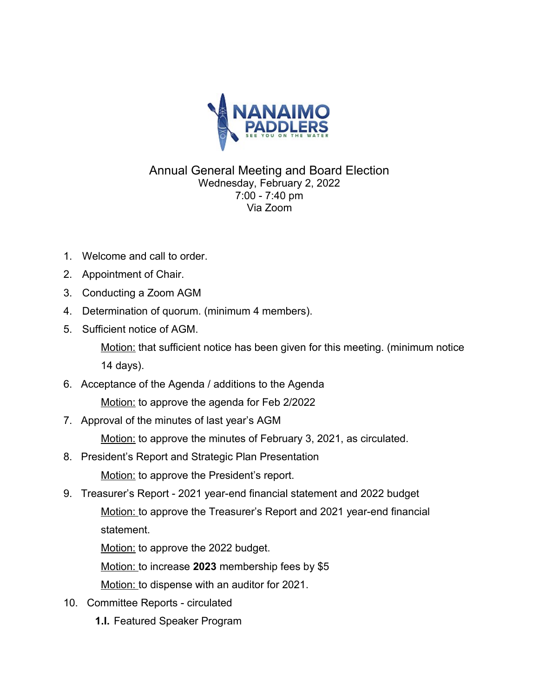

## Annual General Meeting and Board Election Wednesday, February 2, 2022 7:00 - 7:40 pm Via Zoom

- 1. Welcome and call to order.
- 2. Appointment of Chair.
- 3. Conducting a Zoom AGM
- 4. Determination of quorum. (minimum 4 members).
- 5. Sufficient notice of AGM.

Motion: that sufficient notice has been given for this meeting. (minimum notice 14 days).

- 6. Acceptance of the Agenda / additions to the Agenda Motion: to approve the agenda for Feb 2/2022
- 7. Approval of the minutes of last year's AGM

Motion: to approve the minutes of February 3, 2021, as circulated.

- 8. President's Report and Strategic Plan Presentation Motion: to approve the President's report.
- 9. Treasurer's Report 2021 year-end financial statement and 2022 budget Motion: to approve the Treasurer's Report and 2021 year-end financial statement.

Motion: to approve the 2022 budget.

Motion: to increase **2023** membership fees by \$5

Motion: to dispense with an auditor for 2021.

- 10. Committee Reports circulated
	- **1.I.** Featured Speaker Program